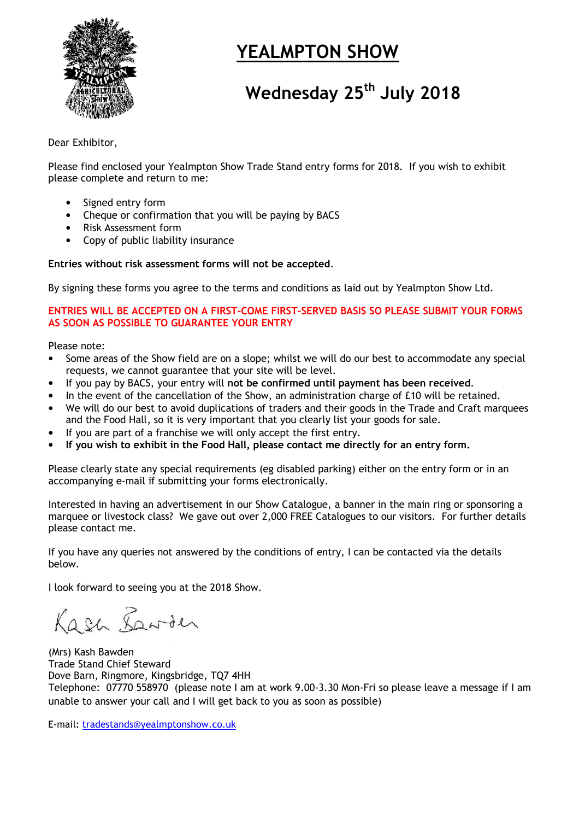

# YEALMPTON SHOW

# Wednesday 25<sup>th</sup> July 2018

Dear Exhibitor,

Please find enclosed your Yealmpton Show Trade Stand entry forms for 2018. If you wish to exhibit please complete and return to me:

- Signed entry form
- Cheque or confirmation that you will be paying by BACS
- Risk Assessment form
- Copy of public liability insurance

#### Entries without risk assessment forms will not be accepted.

By signing these forms you agree to the terms and conditions as laid out by Yealmpton Show Ltd.

#### ENTRIES WILL BE ACCEPTED ON A FIRST-COME FIRST-SERVED BASIS SO PLEASE SUBMIT YOUR FORMS AS SOON AS POSSIBLE TO GUARANTEE YOUR ENTRY

Please note:

- Some areas of the Show field are on a slope; whilst we will do our best to accommodate any special requests, we cannot guarantee that your site will be level.
- If you pay by BACS, your entry will not be confirmed until payment has been received.
- In the event of the cancellation of the Show, an administration charge of £10 will be retained.
- We will do our best to avoid duplications of traders and their goods in the Trade and Craft marquees and the Food Hall, so it is very important that you clearly list your goods for sale.
- If you are part of a franchise we will only accept the first entry.
- If you wish to exhibit in the Food Hall, please contact me directly for an entry form.

Please clearly state any special requirements (eg disabled parking) either on the entry form or in an accompanying e-mail if submitting your forms electronically.

Interested in having an advertisement in our Show Catalogue, a banner in the main ring or sponsoring a marquee or livestock class? We gave out over 2,000 FREE Catalogues to our visitors. For further details please contact me.

If you have any queries not answered by the conditions of entry, I can be contacted via the details below.

I look forward to seeing you at the 2018 Show.

Kash Lawder

(Mrs) Kash Bawden Trade Stand Chief Steward Dove Barn, Ringmore, Kingsbridge, TQ7 4HH Telephone: 07770 558970 (please note I am at work 9.00-3.30 Mon-Fri so please leave a message if I am unable to answer your call and I will get back to you as soon as possible)

E-mail: tradestands@yealmptonshow.co.uk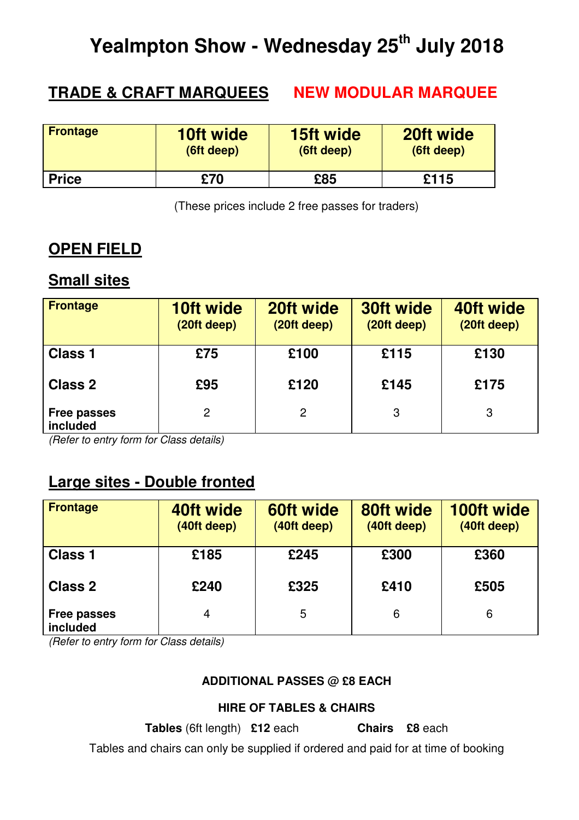# **Yealmpton Show - Wednesday 25th July 2018**

## **TRADE & CRAFT MARQUEES NEW MODULAR MARQUEE**

| <b>Frontage</b> | <b>10ft wide</b> | <b>15ft wide</b> | 20ft wide  |
|-----------------|------------------|------------------|------------|
|                 | (6ft deep)       | (6ft deep)       | (6ft deep) |
| <b>Price</b>    | £70              | £85              | £115       |

(These prices include 2 free passes for traders)

## **OPEN FIELD**

## **Small sites**

| <b>Frontage</b>                | <b>10ft wide</b><br>(20ft deep) | 20ft wide<br>(20ft deep) | 30ft wide<br>(20ft deep) | 40ft wide<br>(20ft deep) |
|--------------------------------|---------------------------------|--------------------------|--------------------------|--------------------------|
| <b>Class 1</b>                 | £75                             | £100                     | £115                     | £130                     |
| <b>Class 2</b>                 | £95                             | £120                     | £145                     | £175                     |
| <b>Free passes</b><br>included | 2                               | 2                        | 3                        | 3                        |

(Refer to entry form for Class details)

## **Large sites - Double fronted**

| <b>Frontage</b>                | 40ft wide<br>(40ft deep) | 60ft wide<br>(40ft deep) | 80ft wide<br>(40ft deep) | <b>100ft wide</b><br>(40ft deep) |
|--------------------------------|--------------------------|--------------------------|--------------------------|----------------------------------|
| <b>Class 1</b>                 | £185                     | £245                     | £300                     | £360                             |
| <b>Class 2</b>                 | £240                     | £325                     | £410                     | £505                             |
| <b>Free passes</b><br>included | 4                        | 5                        | 6                        | 6                                |

(Refer to entry form for Class details)

### **ADDITIONAL PASSES @ £8 EACH**

#### **HIRE OF TABLES & CHAIRS**

**Tables** (6ft length) **£12** each **Chairs £8** each

Tables and chairs can only be supplied if ordered and paid for at time of booking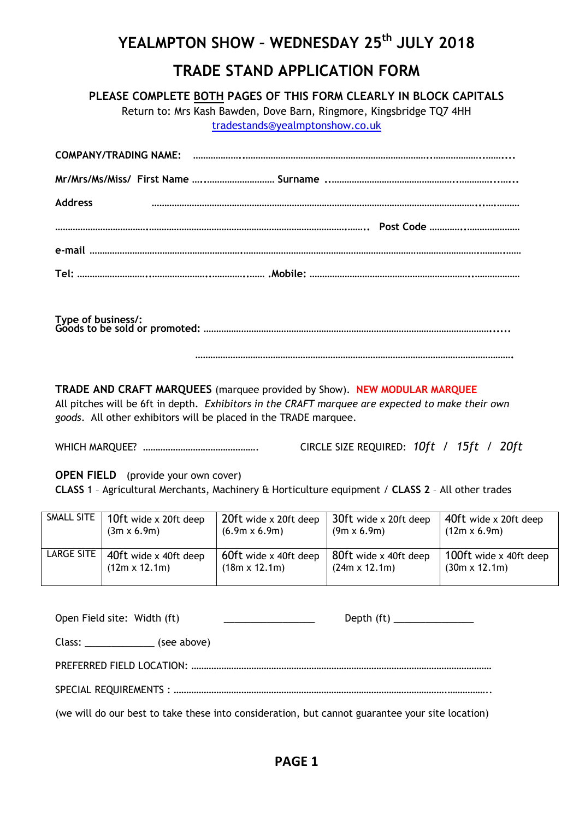## YEALMPTON SHOW - WEDNESDAY 25<sup>th</sup> JULY 2018 TRADE STAND APPLICATION FORM

PLEASE COMPLETE BOTH PAGES OF THIS FORM CLEARLY IN BLOCK CAPITALS

Return to: Mrs Kash Bawden, Dove Barn, Ringmore, Kingsbridge TQ7 4HH tradestands@yealmptonshow.co.uk

| <b>Address</b> |  |
|----------------|--|
|                |  |
|                |  |
|                |  |

Type of business/: Goods to be sold or promoted: ……………………………………………………………………………………………………......

……………………………………………………………………………………………………………….

TRADE AND CRAFT MARQUEES (marquee provided by Show). NEW MODULAR MARQUEE All pitches will be 6ft in depth. Exhibitors in the CRAFT marquee are expected to make their own goods. All other exhibitors will be placed in the TRADE marquee.

WHICH MARQUEE? ………………………………………. CIRCLE SIZE REQUIRED: 10ft / 15ft / 20ft

OPEN FIELD (provide your own cover)

CLASS 1 – Agricultural Merchants, Machinery & Horticulture equipment / CLASS 2 – All other trades

| SMALL SITE | 10ft wide x 20ft deep | 20ft wide x 20ft deep | 30ft wide x 20ft deep | 40ft wide x 20ft deep  |
|------------|-----------------------|-----------------------|-----------------------|------------------------|
|            | $(3m \times 6.9m)$    | $(6.9m \times 6.9m)$  | $(9m \times 6.9m)$    | $(12m \times 6.9m)$    |
| LARGE SITE | 40ft wide x 40ft deep | 60ft wide x 40ft deep | 80ft wide x 40ft deep | 100ft wide x 40ft deep |
|            | $(12m \times 12.1m)$  | $(18m \times 12.1m)$  | $(24m \times 12.1m)$  | $(30m \times 12.1m)$   |

| Open Field site: Width (ft)<br>the company of the company of the company of |  |
|-----------------------------------------------------------------------------|--|
| Class: (see above)                                                          |  |
|                                                                             |  |
|                                                                             |  |

(we will do our best to take these into consideration, but cannot guarantee your site location)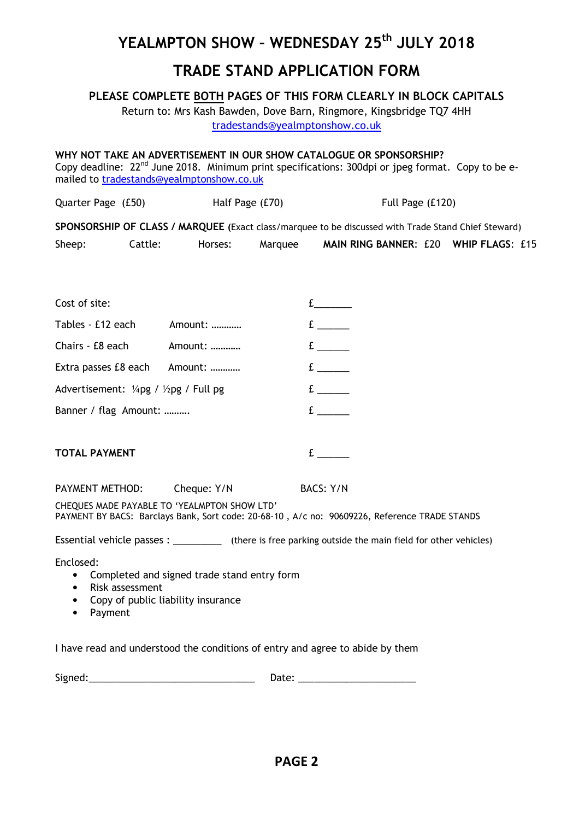## YEALMPTON SHOW - WEDNESDAY 25<sup>th</sup> JULY 2018

## TRADE STAND APPLICATION FORM

#### PLEASE COMPLETE BOTH PAGES OF THIS FORM CLEARLY IN BLOCK CAPITALS

Return to: Mrs Kash Bawden, Dove Barn, Ringmore, Kingsbridge TQ7 4HH tradestands@yealmptonshow.co.uk

WHY NOT TAKE AN ADVERTISEMENT IN OUR SHOW CATALOGUE OR SPONSORSHIP? Copy deadline: 22<sup>nd</sup> June 2018. Minimum print specifications: 300dpi or jpeg format. Copy to be emailed to tradestands@yealmptonshow.co.uk Quarter Page (£50) Half Page (£70) Full Page (£120) SPONSORSHIP OF CLASS / MARQUEE (Exact class/marquee to be discussed with Trade Stand Chief Steward) Sheep: Cattle: Horses: Marquee MAIN RING BANNER: £20 WHIP FLAGS: £15 Cost of site: the cost of site: Tables - £12 each Amount: ............ Chairs - £8 each Amount: ………… Extra passes £8 each Amount: …………  $f$ £ \_\_\_\_\_\_ £ \_\_\_\_\_\_ Advertisement:  $\frac{1}{4}$ pg /  $\frac{1}{2}$ pg / Full pg  $\qquad \qquad$   $\qquad \qquad$   $\qquad \qquad$   $\qquad \qquad$   $\qquad \qquad$   $\qquad$   $\qquad \qquad$   $\qquad$   $\qquad \qquad$   $\qquad$   $\qquad$   $\qquad$   $\qquad$   $\qquad$   $\qquad$   $\qquad$   $\qquad$   $\qquad$   $\qquad$   $\qquad$   $\qquad$   $\qquad$   $\qquad$   $\qquad$   $\qquad$ Banner / flag Amount: ………. £ \_\_\_\_\_\_ TOTAL PAYMENT FOUND TO THE RESERVE TO THE RESERVE TO THE RESERVE TO THE RESERVE TO THE RESERVE TO THE RESERVE TO THE RESERVE TO THE RESERVE TO THE RESERVE TO THE RESERVE TO THE RESERVE TO THE RESERVE TO THE RESERVE TO THE PAYMENT METHOD: Cheque: Y/N BACS: Y/N CHEQUES MADE PAYABLE TO 'YEALMPTON SHOW LTD' PAYMENT BY BACS: Barclays Bank, Sort code: 20-68-10 , A/c no: 90609226, Reference TRADE STANDS Essential vehicle passes:  $\overline{\phantom{a}}$  (there is free parking outside the main field for other vehicles) Enclosed: • Completed and signed trade stand entry form • Risk assessment • Copy of public liability insurance • Payment I have read and understood the conditions of entry and agree to abide by them

| $\ddot{\phantom{1}}\phantom{1}$ |        |
|---------------------------------|--------|
| 218                             | $\sim$ |
|                                 |        |